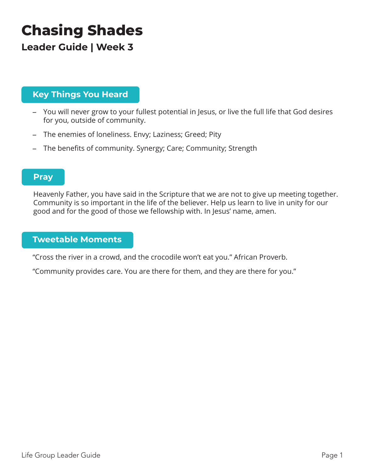# **Chasing Shades**

### **Leader Guide | Week 3**

### **Key Things You Heard**

- You will never grow to your fullest potential in Jesus, or live the full life that God desires for you, outside of community.
- The enemies of loneliness. Envy; Laziness; Greed; Pity
- The benefits of community. Synergy; Care; Community; Strength

#### **Pray**

Heavenly Father, you have said in the Scripture that we are not to give up meeting together. Community is so important in the life of the believer. Help us learn to live in unity for our good and for the good of those we fellowship with. In Jesus' name, amen.

#### **Tweetable Moments**

"Cross the river in a crowd, and the crocodile won't eat you." African Proverb.

"Community provides care. You are there for them, and they are there for you."